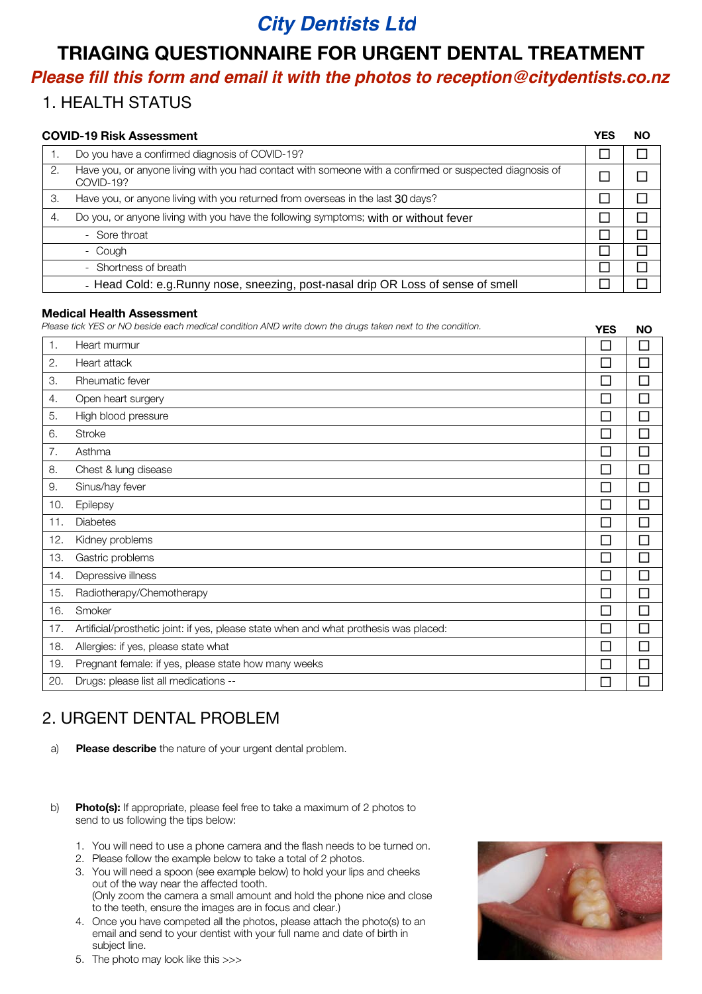## *City Dentists Ltd*

## TRIAGING QUESTIONNAIRE FOR URGENT DENTAL TREATMENT

# *Please fill this form and email it with the photos to [reception@citydentists.co.nz](https://www.example.com)*

### 1. HEALTH STATUS

| <b>COVID-19 Risk Assessment</b>                                                   |                                                                                                                      |  | <b>NO</b> |  |
|-----------------------------------------------------------------------------------|----------------------------------------------------------------------------------------------------------------------|--|-----------|--|
|                                                                                   | Do you have a confirmed diagnosis of COVID-19?                                                                       |  |           |  |
| 2.                                                                                | Have you, or anyone living with you had contact with someone with a confirmed or suspected diagnosis of<br>COVID-19? |  |           |  |
| 3.                                                                                | Have you, or anyone living with you returned from overseas in the last 30 days?                                      |  |           |  |
| 4.                                                                                | Do you, or anyone living with you have the following symptoms; with or without fever                                 |  |           |  |
|                                                                                   | - Sore throat                                                                                                        |  |           |  |
|                                                                                   | - Cough                                                                                                              |  |           |  |
|                                                                                   | - Shortness of breath                                                                                                |  |           |  |
| - Head Cold: e.g. Runny nose, sneezing, post-nasal drip OR Loss of sense of smell |                                                                                                                      |  |           |  |

#### Medical Health Assessment

*Please tick YES or NO beside each medical condition AND write down the drugs taken next to the condition. YES NO* 

|     |                                                                                       | .      | .      |
|-----|---------------------------------------------------------------------------------------|--------|--------|
| 1.  | Heart murmur                                                                          | П      | П      |
| 2.  | Heart attack                                                                          | $\Box$ | П      |
| З.  | Rheumatic fever                                                                       | П      | П      |
| 4.  | Open heart surgery                                                                    | $\Box$ | $\Box$ |
| 5.  | High blood pressure                                                                   | П      | П      |
| 6.  | <b>Stroke</b>                                                                         | $\Box$ | $\Box$ |
| 7.  | Asthma                                                                                | $\Box$ | П      |
| 8.  | Chest & lung disease                                                                  | П      | П      |
| 9.  | Sinus/hay fever                                                                       | $\Box$ | П      |
| 10. | Epilepsy                                                                              | $\Box$ | $\Box$ |
| 11. | Diabetes                                                                              | $\Box$ | П      |
| 12. | Kidney problems                                                                       | П      | П      |
| 13. | Gastric problems                                                                      | П      | П      |
| 14. | Depressive illness                                                                    | П      | $\Box$ |
| 15. | Radiotherapy/Chemotherapy                                                             | П      | П      |
| 16. | Smoker                                                                                | $\Box$ | П      |
| 17. | Artificial/prosthetic joint: if yes, please state when and what prothesis was placed: | $\Box$ | П      |
| 18. | Allergies: if yes, please state what                                                  | П      | П      |
| 19. | Pregnant female: if yes, please state how many weeks                                  | П      | □      |
| 20. | Drugs: please list all medications --                                                 | $\Box$ | □      |
|     |                                                                                       |        |        |

## 2. URGENT DENTAL PROBLEM

- a) Please describe the nature of your urgent dental problem.
- b) Photo(s): If appropriate, please feel free to take a maximum of 2 photos to send to us following the tips below:
	- You will need to use a phone camera and the flash needs to be turned on.
	- 2. Please follow the example below to take a total of 2 photos.
	- 3. You will need a spoon (see example below) to hold your lips and cheeks out of the way near the affected tooth. (Only zoom the camera a small amount and hold the phone nice and close to the teeth, ensure the images are in focus and clear.)
	- Once you have competed all the photos, please attach the photo(s) to an email and send to your dentist with your full name and date of birth in subject line.



5. The photo may look like this >>>